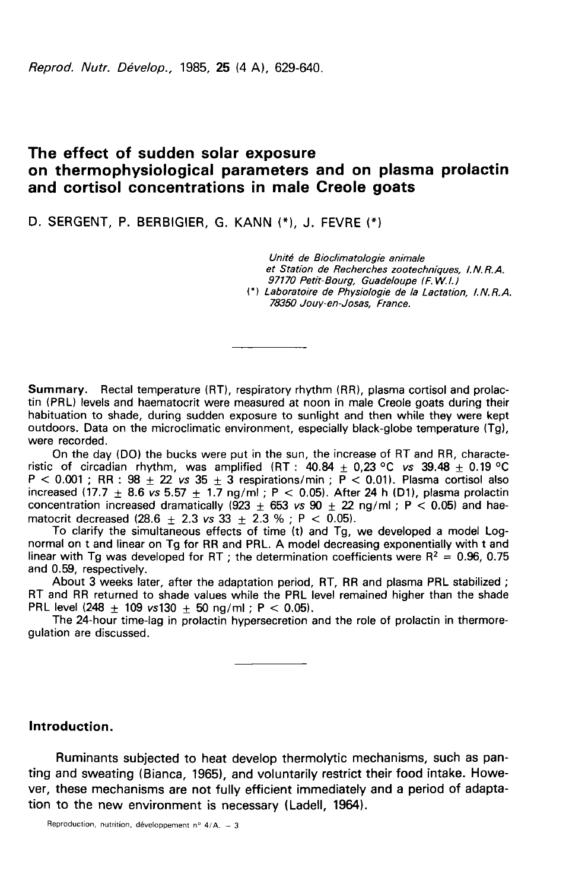Reprod. Nutr. Dévelop., 1985. 25 (4 A), 629-640.

# The effect of sudden solar exposure on thermophysiological parameters and on plasma prolactin and cortisol concentrations in male Creole goats

D. SERGENT, P. BERBIGIER, G. KANN (\*), J. FEVRE (\*)

Unité de Bioclimatologie animale et Station de Recherches zootechniques, I.N.R.A. 97170 Petit-Bourg, Guadeloupe (F. W.I.) (\*) Laboratoire de Physiologie de la Lactation, I.N.R.A. 78350 Jouy-en-Josas, France.

Summary. Rectal temperature (RT), respiratory rhythm (RR), plasma cortisol and prolactin (PRL) levels and haematocrit were measured at noon in male Creole goats during their habituation to shade, during sudden exposure to sunlight and then while they were kept outdoors. Data on the microclimatic environment, especially black-globe temperature (Tg), were recorded.

On the day (DO) the bucks were put in the sun, the increase of RT and RR, characteristic of circadian rhythm, was amplified (RT :  $40.84 + 0.23$  °C vs 39.48 + 0.19 °C  $\textsf{P} < 0.001$  ; RR :  $98 \pm 22$  *vs*  $35 \pm 3$  respirations/min ;  $\textsf{P} < 0.01$ ). Plasma cortisol also increased (17.7  $\pm$  8.6 *vs* 5.57  $\pm$  1.7 ng/ml ; P  $<$  0.05). After 24 h (D1), plasma prolactin concentration increased dramatically (923  $\pm$  653 vs 90  $\pm$  22 ng/ml; P < 0.05) and haematocrit decreased  $(28.6 + 2.3 \text{ vs } 33 + 2.3 \text{ % : } P < 0.05)$ .

To clarify the simultaneous effects of time (t) and Tg, we developed a model Lognormal on t and linear on Tg for RR and PRL. A model decreasing exponentially with t and linear with Tg was developed for RT ; the determination coefficients were  $R^2 = 0.96$ , 0.75 and 0.59, respectively.

About 3 weeks later, after the adaptation period, RT, RR and plasma PRL stabilized ; RT and RR returned to shade values while the PRL level remained higher than the shade PRL level  $(248 \pm 109 \text{ vs } 130 + 50 \text{ ng/m}$  ; P < 0.05).

The 24-hour time-lag in prolactin hypersecretion and the role of prolactin in thermoregulation are discussed.

### Introduction.

Ruminants subjected to heat develop thermolytic mechanisms, such as panting and sweating (Bianca, 1965), and voluntarily restrict their food intake. However, these mechanisms are not fully efficient immediately and a period of adaptation to the new environment is necessary (Ladell, 1964).

Reproduction, nutrition, développement nº  $4/A. - 3$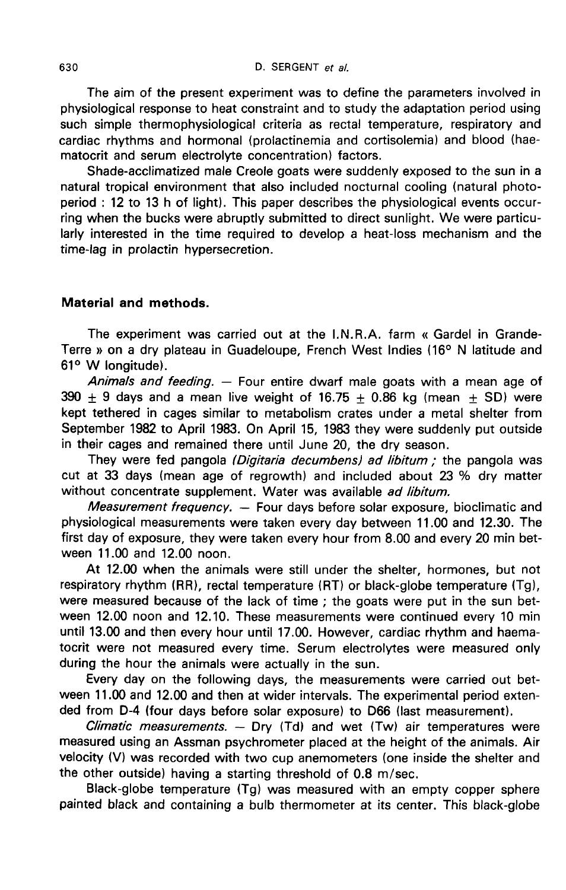The aim of the present experiment was to define the parameters involved in physiological response to heat constraint and to study the adaptation period using such simple thermophysiological criteria as rectal temperature, respiratory and cardiac rhythms and hormonal (prolactinemia and cortisolemia) and blood (haematocrit and serum electrolyte concentration) factors.

Shade-acclimatized male Creole goats were suddenly exposed to the sun in a natural tropical environment that also included nocturnal cooling (natural photoperiod : 12 to 13 h of light). This paper describes the physiological events occurring when the bucks were abruptly submitted to direct sunlight. We were particularly interested in the time required to develop a heat-loss mechanism and the time-lag in prolactin hypersecretion.

#### Material and methods.

The experiment was carried out at the I.N.R.A. farm « Gardel in Grande-Terre » on a dry plateau in Guadeloupe, French West Indies (16° N latitude and 61° W longitude).

Animals and feeding.  $-$  Four entire dwarf male goats with a mean age of  $390 + 9$  days and a mean live weight of 16.75  $+$  0.86 kg (mean  $+$  SD) were kept tethered in cages similar to metabolism crates under a metal shelter from September 1982 to April 1983. On April 15, 1983 they were suddenly put outside in their cages and remained there until June 20, the dry season.

They were fed pangola (Digitaria decumbens) ad libitum; the pangola was cut at 33 days (mean age of regrowth) and included about 23 % dry matter without concentrate supplement. Water was available ad libitum.

*Measurement frequency.*  $-$  Four days before solar exposure, bioclimatic and physiological measurements were taken every day between 11.00 and 12.30. The first day of exposure, they were taken every hour from 8.00 and every 20 min between 11.00 and 12.00 noon.

At 12.00 when the animals were still under the shelter, hormones, but not respiratory rhythm (RR), rectal temperature (RT) or black-globe temperature (Tg), were measured because of the lack of time ; the goats were put in the sun between 12.00 noon and 12.10. These measurements were continued every 10 min until 13.00 and then every hour until 17.00. However, cardiac rhythm and haematocrit were not measured every time. Serum electrolytes were measured only during the hour the animals were actually in the sun.

Every day on the following days, the measurements were carried out between 11.00 and 12.00 and then at wider intervals. The experimental period extended from D-4 (four days before solar exposure) to D66 (last measurement).

Climatic measurements.  $-$  Dry (Td) and wet (Tw) air temperatures were measured using an Assman psychrometer placed at the height of the animals. Air velocity (V) was recorded with two cup anemometers (one inside the shelter and the other outside) having a starting threshold of 0.8 m/sec.

Black-globe temperature (Tg) was measured with an empty copper sphere painted black and containing a bulb thermometer at its center. This black-globe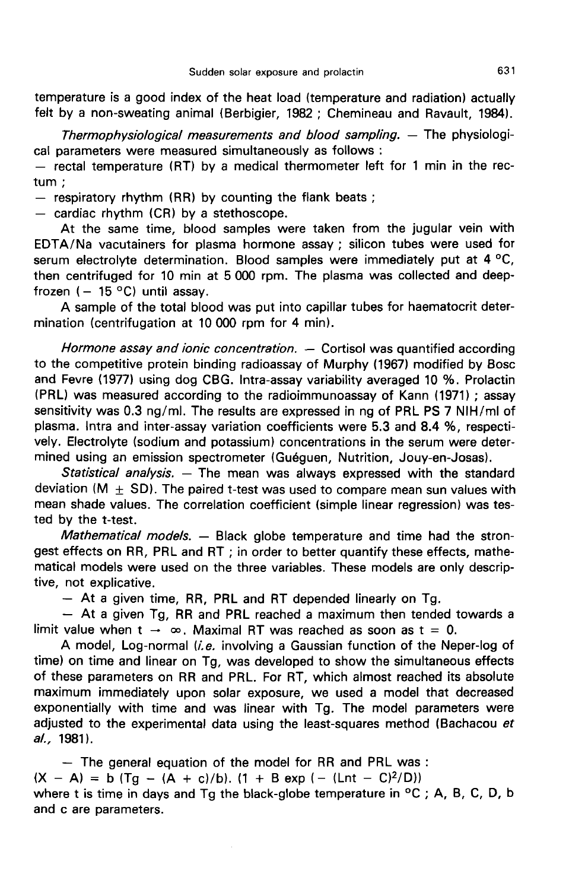temperature is a good index of the heat load (temperature and radiation) actually felt by a non-sweating animal (Berbigier, 1982 ; Chemineau and Ravault, 1984).

Thermophysiological measurements and blood sampling.  $-$  The physiological parameters were measured simultaneously as follows :

 $-$  rectal temperature (RT) by a medical thermometer left for 1 min in the rectum ;

- respiratory rhythm (RR) by counting the flank beats ;<br>- cardiac rhythm (CR) by a stethoscope.

At the same time, blood samples were taken from the jugular vein with EDTA/Na vacutainers for plasma hormone assay ; silicon tubes were used for serum electrolyte determination. Blood samples were immediately put at  $4^{\circ}$ C, then centrifuged for 10 min at 5 000 rpm. The plasma was collected and deepfrozen  $(-15 °C)$  until assay.

A sample of the total blood was put into capillar tubes for haematocrit determination (centrifugation at 10 000 rpm for 4 min).

Hormone assay and ionic concentration. — Cortisol was quantified according to the competitive protein binding radioassay of Murphy (1967) modified by Bosc and Fevre (1977) using dog CBG. Intra-assay variability averaged 10 %. Prolactin (PRL) was measured according to the radioimmunoassay of Kann (1971) ; assay sensitivity was 0.3 ng/ml. The results are expressed in ng of PRL PS 7 NIH/ml of plasma. Intra and inter-assay variation coefficients were 5.3 and 8.4 %, respectively. Electrolyte (sodium and potassium) concentrations in the serum were determined using an emission spectrometer (Gu6guen, Nutrition, Jouy-en-Josas).

Statistical analysis. — The mean was always expressed with the standard deviation (M  $\pm$  SD). The paired t-test was used to compare mean sun values with mean shade values. The correlation coefficient (simple linear regression) was tested by the t-test.

Mathematical models. - Black globe temperature and time had the strongest effects on RR, PRL and RT ; in order to better quantify these effects, mathematical models were used on the three variables. These models are only descrip-<br>tive, not explicative.

- At a given time, RR, PRL and RT depended linearly on Tg.<br>- At a given Tg, RR and PRL reached a maximum then tended towards a limit value when  $t \rightarrow \infty$ . Maximal RT was reached as soon as  $t = 0$ .

A model, Log-normal (*i.e.* involving a Gaussian function of the Neper-log of time) on time and linear on Tg, was developed to show the simultaneous effects of these parameters on RR and PRL. For RT, which almost reached its absolute maximum immediately upon solar exposure, we used a model that decreased exponentially with time and was linear with Tg. The model parameters were adjusted to the experimental data using the least-squares method (Bachacou et al., 1981).

- The general equation of the model for RR and PRL was :  $(X - A) = b (Tg - (A + c)/b)$ .  $(1 + B exp (- (Lnt - C)^{2}/D))$ where t is time in days and Tg the black-globe temperature in  $\,^{\circ}$ C ; A, B, C, D, b and c are parameters.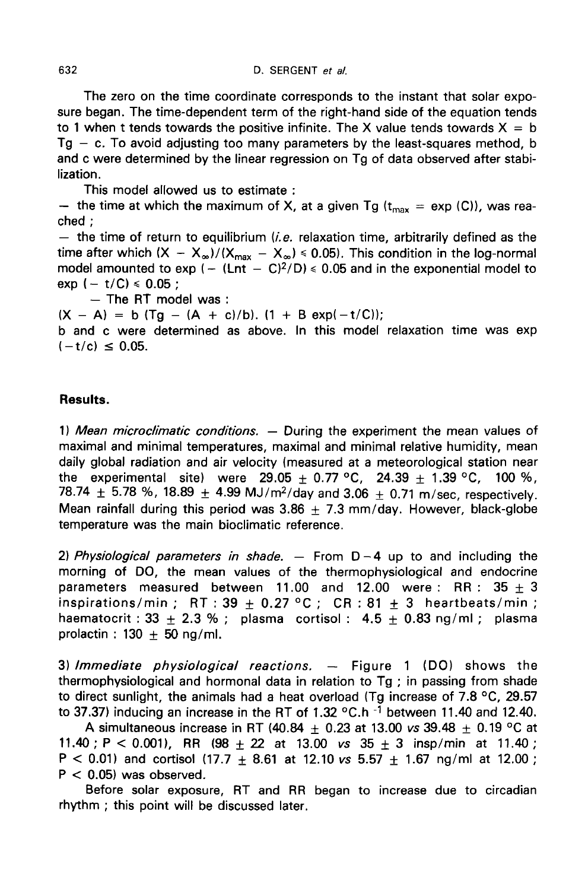The zero on the time coordinate corresponds to the instant that solar exposure began. The time-dependent term of the right-hand side of the equation tends to 1 when t tends towards the positive infinite. The X value tends towards  $X = b$  $Tg - c$ . To avoid adjusting too many parameters by the least-squares method, b and c were determined by the linear regression on Tg of data observed after stabilization.

This model allowed us to estimate :

- the time at which the maximum of X, at a given Tg ( $t_{max}$  = exp (C)), was reached ;

 $-$  the time of return to equilibrium (*i.e.* relaxation time, arbitrarily defined as the the after which (X - X<sub>∞</sub>)/(X<sub>max</sub> - X<sub>∞</sub>) ≤ 0.05). This condition in the log-normal<br>time after which (X - X<sub>∞</sub>)/(X<sub>max</sub> - X<sub>∞</sub>) ≤ 0.05). This condition in the log-normal<br>model amounted to exp (- (Lnt - C)<sup>2</sup>/D) ≤ 0.05 an — the time of return to equilibrium (*i.e.* relaxation time, arbitrarily defined as the time after which  $(X - X_{\infty})/(X_{\max} - X_{\infty}) \le 0.05$ ). This condition in the log-normal model amounted to exp  $(- (Ent - C)^2/D) \le 0.05$  and in th  $exp (- t/C) \le 0.05$ ;

 $-$  The RT model was :

 $(X - A) = b$   $(Tg - (A + c)/b)$ .  $(1 + B exp(-t/C))$ ;

b and c were determined as above. In this model relaxation time was exp  $(-t/c) \le 0.05$ .

### Results.

1) Mean microclimatic conditions. — During the experiment the mean values of maximal and minimal temperatures, maximal and minimal relative humidity, mean daily global radiation and air velocity (measured at a meteorological station near the experimental site) were 29.05  $\pm$  0.77 °C, 24.39  $\pm$  1.39 °C, 100 %, 78.74  $\pm$  5.78 %, 18.89  $\pm$  4.99 MJ/m<sup>2</sup>/day and 3.06 + 0.71 m/sec, respectively. Mean rainfall during this period was 3.86  $\pm$  7.3 mm/day. However, black-globe temperature was the main bioclimatic reference.

2) Physiological parameters in shade.  $-$  From D-4 up to and including the morning of DO, the mean values of the thermophysiological and endocrine parameters measured between 11.00 and 12.00 were : RR :  $35 \pm 3$ inspirations/min ; RT : 39 + 0.27 °C ; CR : 81 + 3 heartbeats/min ; haematocrit : 33  $+$  2.3 % ; plasma cortisol :  $4.5 + 0.83$  ng/ml ; plasma prolactin :  $130 \pm 50$  ng/ml.

3) Immediate physiological reactions.  $-$  Figure 1 (DO) shows the thermophysiological and hormonal data in relation to Tg ; in passing from shade to direct sunlight, the animals had a heat overload (Tg increase of 7.8  $\rm ^{o}C$ , 29.57  $\,$ thermophysiological and hormonal data in relation to Tg; in passing from shade<br>to direct sunlight, the animals had a heat overload (Tg increase of 7.8 °C, 29.57<br>to 37.37) inducing an increase in the RT of 1.32 °C.h <sup>-1</sup> b

A simultaneous increase in RT (40.84  $\pm$  0.23 at 13.00 vs 39.48  $\pm$  0.19 °C at 11.40 ; P < 0.001), RR  $(98 + 22$  at 13.00 vs  $35 + 3$  insp/min at 11.40 ; P < 0.01) and cortisol (17.7  $\pm$  8.61 at 12.10 vs 5.57  $\pm$  1.67 ng/ml at 12.00 ;  $P < 0.05$ ) was observed.

Before solar exposure, RT and RR began to increase due to circadian rhythm ; this point will be discussed later.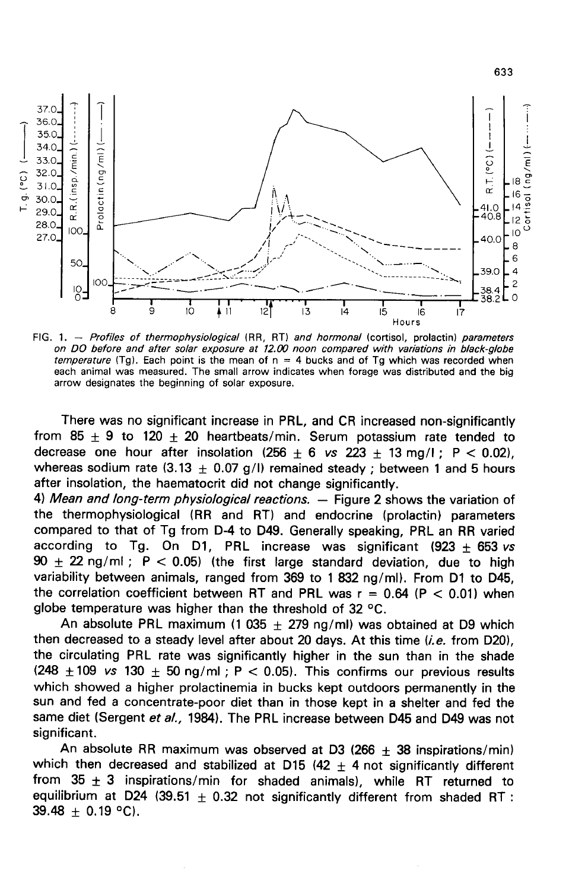

FIG. 1. - Profiles of thermophysiological (RR, RT) and hormonal (cortisol, prolactin) parameters on DO before and after solar exposure at 12.00 noon compared with variations in black-globe temperature (Tg). Each point is the mean of  $n = 4$  bucks and of Tg which was recorded when each animal was measured. The small arrow indicates when forage was distributed and the big arrow designates the beginning of solar exposure.

There was no significant increase in PRL, and CR increased non-significantly from 85  $\pm$  9 to 120  $\pm$  20 heartbeats/min. Serum potassium rate tended to decrease one hour after insolation  $(256 + 6 \text{ vs } 223 + 13 \text{ mg/})$ ; P < 0.02), whereas sodium rate  $(3.13 + 0.07)$  g/I) remained steady ; between 1 and 5 hours after insolation, the haematocrit did not change significantly.

4) Mean and long-term physiological reactions. — Figure 2 shows the variation of the thermophysiological (RR and RT) and endocrine (prolactin) parameters compared to that of Tg from D-4 to D49. Generally speaking, PRL an RR varied according to Tg. On D1, PRL increase was significant (923  $\pm$  653 vs  $90 \pm 22$  ng/ml; P < 0.05) (the first large standard deviation, due to high variability between animals, ranged from 369 to 1 832 ng/ml). From D1 to D45, the correlation coefficient between RT and PRL was  $r = 0.64$  (P  $< 0.01$ ) when globe temperature was higher than the threshold of 32 °C.

An absolute PRL maximum (1 035  $\pm$  279 ng/ml) was obtained at D9 which then decreased to a steady level after about 20 days. At this time  $(i.e.$  from D20), the circulating PRL rate was significantly higher in the sun than in the shade (248  $\pm$  109 vs 130  $\pm$  50 ng/ml; P < 0.05). This confirms our previous results which showed a steady level after about 20 days. At this time (*i.e.* from D20), the circulating PRL rate was significantly higher in the s which showed a higher prolactinemia in bucks kept outdoors permanently in the sun and fed a concentrate-poor diet than in those kept in a shelter and fed the same diet (Sergent et al., 1984). The PRL increase between D45 and D49 was not significant.

An absolute RR maximum was observed at D3 (266  $\pm$  38 inspirations/min) which then decreased and stabilized at D15 (42  $\pm$  4 not significantly different from 35  $\pm$  3 inspirations/min for shaded animals), while RT returned to equilibrium at D24 (39.51  $\pm$  0.32 not significantly different from shaded RT :  $39.48 + 0.19$  °C).

633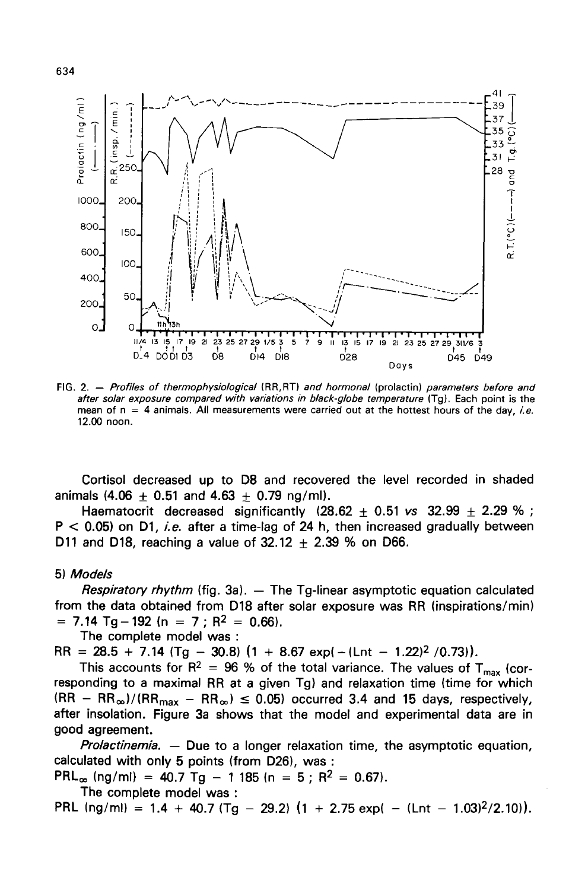

FIG. 2. - Profiles of thermophysiological (RR,RT) and hormonal (prolactin) parameters before and after solar exposure compared with variations in black-globe temperature (Tq). Each point is the mean of  $n = 4$  animals. All measurements were carried out at the hottest hours of the day, i.e. 12.00 noon.

Cortisol decreased up to D8 and recovered the level recorded in shaded animals (4.06  $\pm$  0.51 and 4.63  $\pm$  0.79 ng/ml).

Haematocrit decreased significantly (28.62  $\pm$  0.51 vs 32.99  $\pm$  2.29 %;  $P < 0.05$ ) on D1, *i.e.* after a time-lag of 24 h, then increased gradually between D11 and D18, reaching a value of  $32.12 + 2.39$  % on D66.

5) Models

Respiratory rhythm (fig. 3a).  $-$  The Tg-linear asymptotic equation calculated from the data obtained from D18 after solar exposure was RR (inspirations/min)<br>= 7.14 Tq - 192 (n = 7 : R<sup>2</sup> = 0.66).

The complete model was :<br>RR =  $28.5 + 7.14$  (Tg - 30.8)  $(1 + 8.67 \text{ exp}) - (\text{Lnt} - 1.22)^2 / (0.73)$ ).

RR = 28.5 + 7.14 (Tg - 30.8) (1 + 8.67 exp(-(Lnt - 1.22)<sup>2</sup> /0.73)).<br>This accounts for R<sup>2</sup> = 96 % of the total variance. The values of T<sub>max</sub> (cor-<br>responding to a maximal RR at a given Tg) and relaxation time (time for responding to a maximal RR at a given Tg) and relaxation time (time for which  $(RR - RR_{\infty})/(RR_{max} - RR_{\infty}) \le 0.05$ ) occurred 3.4 and 15 days, respectively, after insolation. Figure 3a shows that the model and experimental data are in good agreement.

*Prolactinemia.*  $-$  Due to a longer relaxation time, the asymptotic equation, calculated with only 5 points (from D26), was :<br>PRL<sub>∞</sub> (ng/ml) = 40.7 Tg - 1 185 (n = 5 ; R<sup>2</sup> = 0.67).

The complete model was :

PRL (ng/ml) = 1.4 + 40.7 (Tg - 29.2)  $(1 + 2.75 \text{ exp}) - (\text{Lnt} - 1.03)^2 / 2.10)$ .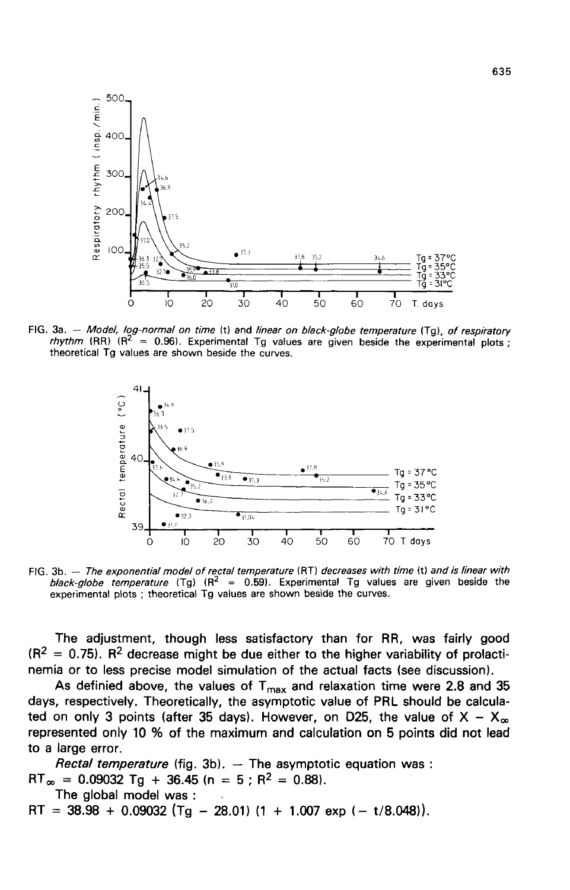

FIG. 3a. - Model, log-normal on time (t) and linear on black-globe temperature (Tg), of respiratory *rhythm* (RR) ( $R^2$  = 0.96). Experimental Tg values are given beside the experimental plots; theoretical Tg values are shown beside the curves.



FIG. 3b. - The exponential model of rectal temperature (RT) decreases with time (t) and is linear with black-globe temperature (Tg)  $(R^2 = 0.59)$ . Experimental Tg values are given beside the experimental plots ; theoretical Tg values are shown beside the curves.

The adjustment, though less satisfactory than for RR, was fairly good  $(R^2 = 0.75)$ . R<sup>2</sup> decrease might be due either to the higher variability of prolactinemia or to less precise model simulation of the actual facts (see discussion).

As definied above, the values of  $T_{\text{max}}$  and relaxation time were 2.8 and 35 days, respectively. Theoretically, the asymptotic value of PRL should be calculated on only 3 points (after 35 days). However, on D25, the value of  $X - X_{\infty}$ represented only 10 % of the maximum and calculation on 5 points did not lead to a large error.

*Rectal temperature* (fig. 3b). — The asymptotic equation was :<br>RT<sub>∞</sub> = 0.09032 Tg + 36.45 (n = 5 ; R<sup>2</sup> = 0.88). The global model was :<br>RT =  $38.98 + 0.09032$  (Tg - 28.01) (1 + 1.007 exp (- t/8.048)).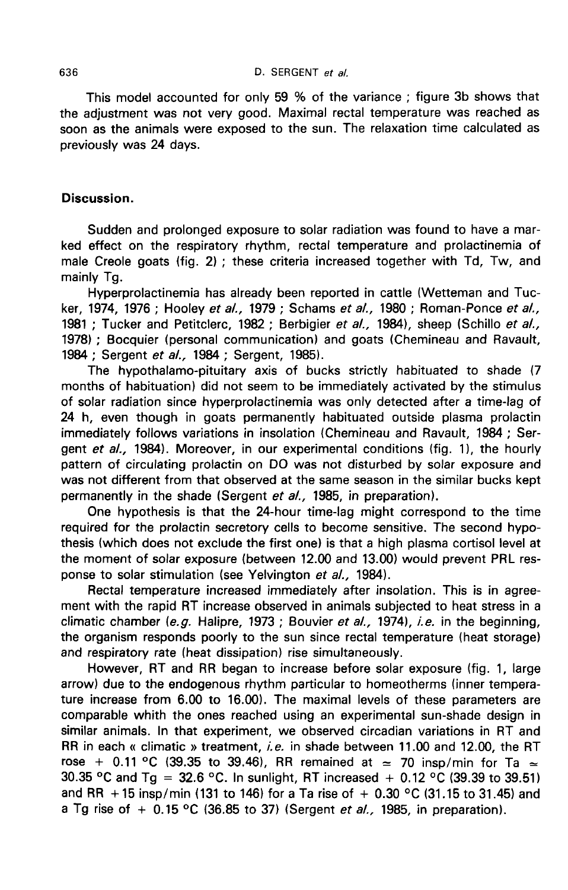This model accounted for only 59 % of the variance ; figure 3b shows that the adjustment was not very good. Maximal rectal temperature was reached as soon as the animals were exposed to the sun. The relaxation time calculated as previously was 24 days.

## Discussion.

Sudden and prolonged exposure to solar radiation was found to have a marked effect on the respiratory rhythm, rectal temperature and prolactinemia of male Creole goats (fig. 2) ; these criteria increased together with Td, Tw, and mainly Tq.

Hyperprolactinemia has already been reported in cattle (Wetteman and Tucker, 1974, 1976 ; Hooley et al., 1979 ; Schams et al., 1980 ; Roman-Ponce et al., 1981 ; Tucker and Petitclerc, 1982 ; Berbigier et al., 1984), sheep (Schillo et al., 1978) ; Bocquier (personal communication) and goats (Chemineau and Ravault, 1984 ; Sergent et al., 1984 ; Sergent, 1985).

The hypothalamo-pituitary axis of bucks strictly habituated to shade (7 months of habituation) did not seem to be immediately activated by the stimulus of solar radiation since hyperprolactinemia was only detected after a time-lag of 24 h, even though in goats permanently habituated outside plasma prolactin immediately follows variations in insolation (Chemineau and Ravault, 1984 ; Sergent et  $al.$ , 1984). Moreover, in our experimental conditions (fig. 1), the hourly pattern of circulating prolactin on DO was not disturbed by solar exposure and was not different from that observed at the same season in the similar bucks kept permanently in the shade (Sergent et al., 1985, in preparation).

One hypothesis is that the 24-hour time-lag might correspond to the time required for the prolactin secretory cells to become sensitive. The second hypothesis (which does not exclude the first one) is that a high plasma cortisol level at the moment of solar exposure (between 12.00 and 13.00) would prevent PRL response to solar stimulation (see Yelvington et al., 1984).

Rectal temperature increased immediately after insolation. This is in agreement with the rapid RT increase observed in animals subjected to heat stress in a climatic chamber (e.g. Halipre, 1973; Bouvier et al., 1974), i.e. in the beginning, the organism responds poorly to the sun since rectal temperature (heat storage) and respiratory rate (heat dissipation) rise simultaneously.

However, RT and RR began to increase before solar exposure (fig. 1, large arrow) due to the endogenous rhythm particular to homeotherms (inner temperature increase from 6.00 to 16.00). The maximal levels of these parameters are comparable whith the ones reached using an experimental sun-shade design in similar animals. In that experiment, we observed circadian variations in RT and RR in each « climatic » treatment, i.e. in shade between 11.00 and 12.00, the RT rose + 0.11 °C (39.35 to 39.46), RR remained at  $\approx$  70 insp/min for Ta  $\approx$ 30.35 °C and Tg = 32.6 °C. In sunlight, RT increased + 0.12 °C (39.39 to 39.51) and RR + 15 insp/min (131 to 146) for a Ta rise of  $+$  0.30 °C (31.15 to 31.45) and a Tg rise of  $+$  0.15 °C (36.85 to 37) (Sergent *et al.,* 1985, in preparation).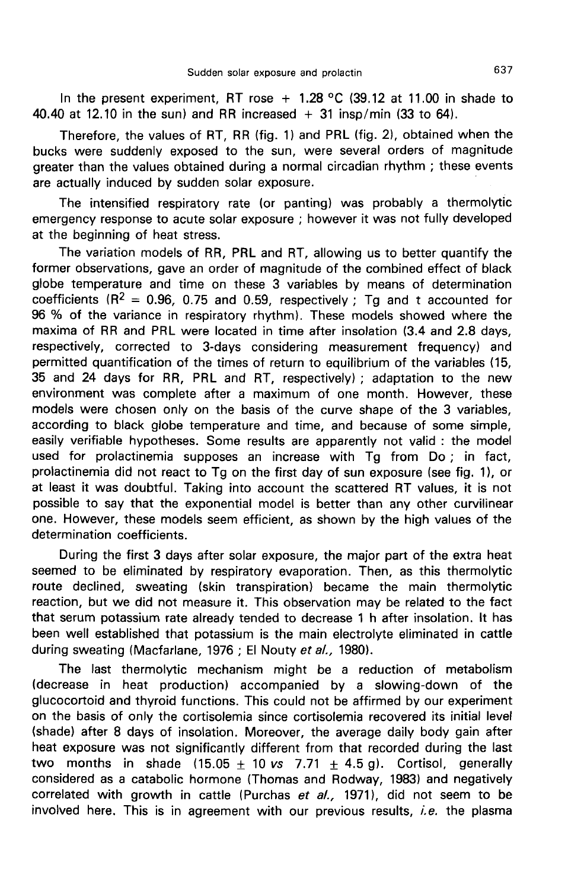In the present experiment, RT rose  $+$  1.28 °C (39.12 at 11.00 in shade to 40.40 at 12.10 in the sun) and RR increased  $+$  31 insp/min (33 to 64).

Therefore, the values of RT, RR (fig. 1) and PRL (fig. 2), obtained when the bucks were suddenly exposed to the sun, were several orders of magnitude greater than the values obtained during a normal circadian rhythm ; these events are actually induced by sudden solar exposure.

The intensified respiratory rate (or panting) was probably a thermolytic emergency response to acute solar exposure ; however it was not fully developed at the beginning of heat stress.

The variation models of RR, PRL and RT, allowing us to better quantify the former observations, gave an order of magnitude of the combined effect of black globe temperature and time on these 3 variables by means of determination coefficients ( $R^2 = 0.96$ , 0.75 and 0.59, respectively; Tg and t accounted for 96 % of the variance in respiratory rhythm). These models showed where the maxima of RR and PRL were located in time after insolation (3.4 and 2.8 days, respectively, corrected to 3-days considering measurement frequency) and permitted quantification of the times of return to equilibrium of the variables (15, 35 and 24 days for RR, PRL and RT, respectively) ; adaptation to the new environment was complete after a maximum of one month. However, these models were chosen only on the basis of the curve shape of the 3 variables, according to black globe temperature and time, and because of some simple, easily verifiable hypotheses. Some results are apparently not valid : the model used for prolactinemia supposes an increase with Tg from Do ; in fact, prolactinemia did not react to Tg on the first day of sun exposure (see fig. 11, or at least it was doubtful. Taking into account the scattered RT values, it is not possible to say that the exponential model is better than any other curvilinear one. However, these models seem efficient, as shown by the high values of the determination coefficients.

During the first 3 days after solar exposure, the major part of the extra heat seemed to be eliminated by respiratory evaporation. Then, as this thermolytic route declined, sweating (skin transpiration) became the main thermolytic reaction, but we did not measure it. This observation may be related to the fact that serum potassium rate already tended to decrease 1 h after insolation. It has been well established that potassium is the main electrolyte eliminated in cattle during sweating (Macfarlane, 1976 ; El Nouty et al., 1980).

The last thermolytic mechanism might be a reduction of metabolism (decrease in heat production) accompanied by a slowing-down of the glucocortoid and thyroid functions. This could not be affirmed by our experiment on the basis of only the cortisolemia since cortisolemia recovered its initial level (shade) after 8 days of insolation. Moreover, the average daily body gain after heat exposure was not significantly different from that recorded during the last two months in shade (15.05  $\pm$  10 vs 7.71  $\pm$  4.5 g). Cortisol, generally considered as a catabolic hormone (Thomas and Rodway, 1983) and negatively correlated with growth in cattle (Purchas et al., 1971), did not seem to be involved here. This is in agreement with our previous results, *i.e.* the plasma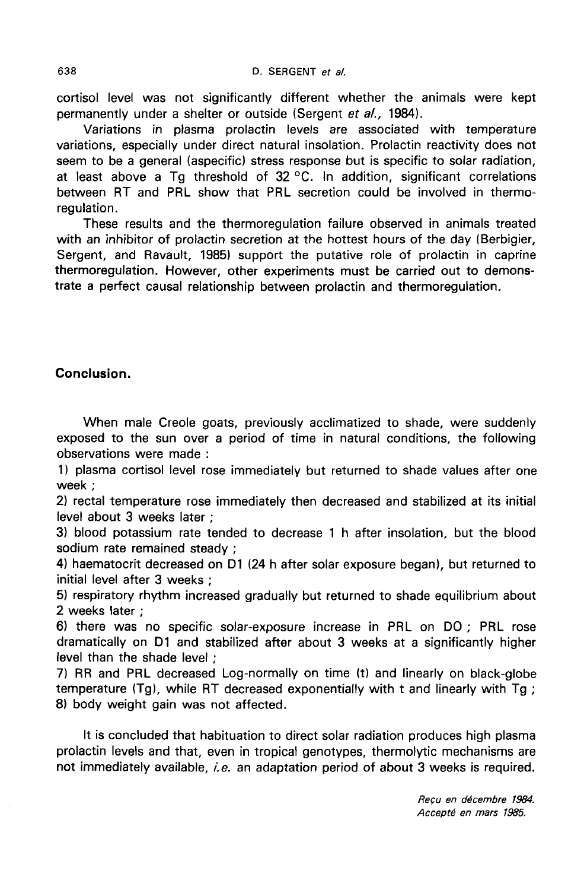cortisol level was not significantly different whether the animals were kept permanently under a shelter or outside (Sergent et al., 1984).

Variations in plasma prolactin levels are associated with temperature variations, especially under direct natural insolation. Prolactin reactivity does not seem to be a general (aspecific) stress response but is specific to solar radiation, at least above a Tg threshold of  $32^{\circ}$ C. In addition, significant correlations between RT and PRL show that PRL secretion could be involved in thermoregulation.

These results and the thermoregulation failure observed in animals treated with an inhibitor of prolactin secretion at the hottest hours of the day (Berbigier, Sergent, and Ravault, 1985) support the putative role of prolactin in caprine thermoregulation. However, other experiments must be carried out to demonstrate a perfect causal relationship between prolactin and thermoregulation.

## Conclusion.

When male Creole goats, previously acclimatized to shade, were suddenly exposed to the sun over a period of time in natural conditions, the following observations were made :

1) plasma cortisol level rose immediately but returned to shade values after one week ;

2) rectal temperature rose immediately then decreased and stabilized at its initial level about 3 weeks later ;

3) blood potassium rate tended to decrease 1 h after insolation, but the blood sodium rate remained steady ;

4) haematocrit decreased on D1 (24 h after solar exposure began), but returned to initial level after 3 weeks ;

5) respiratory rhythm increased gradually but returned to shade equilibrium about 2 weeks later ;

6) there was no specific solar-exposure increase in PRL on DO ; PRL rose dramatically on D1 and stabilized after about 3 weeks at a significantly higher level than the shade level ;

7) RR and PRL decreased Log-normally on time (t) and linearly on black-globe temperature (Tg), while RT decreased exponentially with t and linearly with Tg ; 8) body weight gain was not affected.

It is concluded that habituation to direct solar radiation produces high plasma prolactin levels and that, even in tropical genotypes, thermolytic mechanisms are not immediately available, i.e. an adaptation period of about 3 weeks is required.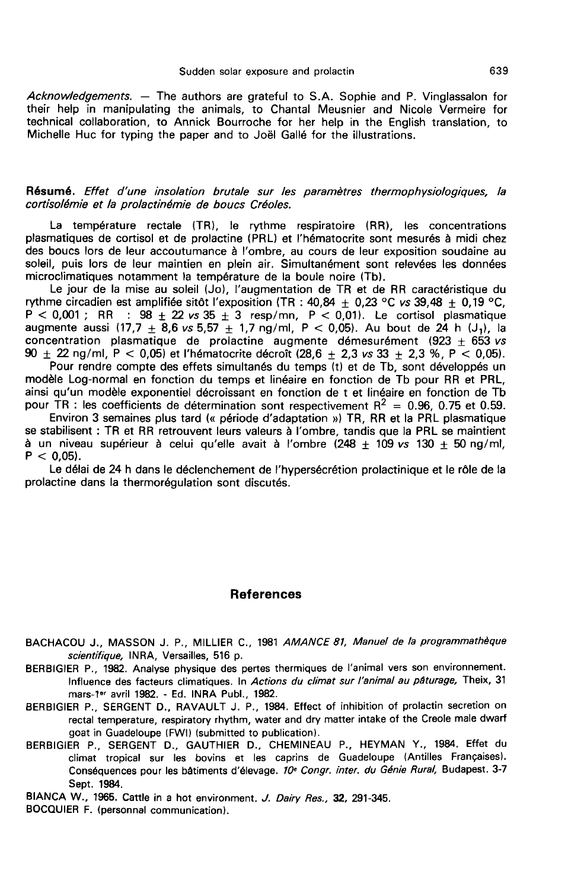Acknowledgements. — The authors are grateful to S.A. Sophie and P. Vinglassalon for their help in manipulating the animals, to Chantal Meusnier and Nicole Vermeire for technical collaboration, to Annick Bourroche for her help in the English translation, to Michelle Huc for typing the paper and to Joël Gallé for the illustrations.

#### Résumé. Effet d'une insolation brutale sur les paramètres thermophysiologiques, la cortisolémie et la prolactinémie de boucs Créoles.

La température rectale (TR), le rythme respiratoire (RR), les concentrations plasmatiques de cortisol et de prolactine (PRL) et l'hématocrite sont mesurés à midi chez des boucs lors de leur accoutumance à l'ombre, au cours de leur exposition soudaine au soleil, puis lors de leur maintien en plein air. Simultanément sont relevées les données microclimatiques notamment la température de la boule noire (Tb).

Le jour de la mise au soleil (Jo), l'augmentation de TR et de RR caractéristique du rythme circadien est amplifiée sitôt l'exposition (TR :  $40.84 + 0.23$  °C vs 39.48 + 0.19 °C, Le jour de la mise au soleil (Jo), l'augmentation de TR et de RR caractéristique du<br>
rythme circadien est amplifiée sitôt l'exposition (TR : 40,84 ± 0,23 °C vs 39,48 ± 0,19 °C,<br>
P < 0,001 ; RR : 98 ± 22 vs 35 ± 3 resp/mn,  $\overline{P}$  < 0,001 ; RR : 98  $\pm$  22 vs 35  $\pm$  3 resp/mn,  $\overline{P}$  < 0,01). Le cortisol plasmatique augmente aussi (17,7  $\pm$  8,6 vs 5,57  $\pm$  1,7 ng/ml,  $P$  < 0,05). Au bout de 24 h (J<sub>1</sub>), la concentration, plasmatique d concentration plasmatique de prolactine augmente démesurément (923 + 653 vs 90  $\pm$  22 ng/ml, P < 0,05) et l'hématocrite décroît (28,6  $\pm$  2,3 vs 33  $\pm$  2,3 %, P < 0,05).

Pour rendre compte des effets simultanés du temps (t) et de Tb, sont développés un modèle Log-normal en fonction du temps et linéaire en fonction de Tb pour RR et PRL, ainsi qu'un modèle exponentiel décroissant en fonction de t et linéaire en fonction de Tb

pour TR : les coefficients de détermination sont respectivement  $R^2 = 0.96$ , 0.75 et 0.59.<br>Environ 3 semaines plus tard (« période d'adaptation ») TR. RR et la PRL plasmatique se stabilisent : TR et RR retrouvent leurs valeurs à l'ombre, tandis que la PRL se maintient à un niveau supérieur à celui qu'elle avait à l'ombre  $(248 + 109 \text{ vs } 130 + 50 \text{ ng/ml})$  $P < 0.05$ ).

Le délai de 24 h dans le déclenchement de l'hypersécrétion prolactinique et le rôle de la prolactine dans la thermorégulation sont discutés.

#### References

- References<br>BACHACOU J., MASSON J. P., MILLIER C., 1981 *AMANCE 81, Manuel de la programmathèque<br>scientifique,* INRA, Versailles, 516 p.<br>BERBIGIER P., 1982. Analyse physique des pertes thermiques de l'animal vers son enviro scientifique, INRA, Versailles, 516 p.
- BERBIGIER P., 1982. Analyse physique des pertes thermiques de I'animal vers son environnement. Influence des facteurs climatiques. In Actions du climat sur l'animal au pâturage, Theix, 31 mars-1<sup>er</sup> avril 1982. - Ed. INRA Publ., 1982.
- BERBIGIER P., SERGENT D., RAVAULT J. P., 1984. Effect of inhibition of prolactin secretion on rectal temperature, respiratory rhythm, water and dry matter intake of the Creole male dwarf goat in Guadeloupe (FWI) (submitted to publication).
- BERBIGIER P., SERGENT D., GAUTHIER D., CHEMINEAU P., HEYMAN Y., 1984. Effet du climat tropical sur les bovins et les caprins de Guadeloupe (Antilles Frangaises). Conséquences pour les bâtiments d'élevage. 10e Congr. inter. du Génie Rural, Budapest. 3-7 Sept. 1984.
- BIANCA W., 1965. Cattle in a hot environment. J. Dairy Res., 32, 291-345.